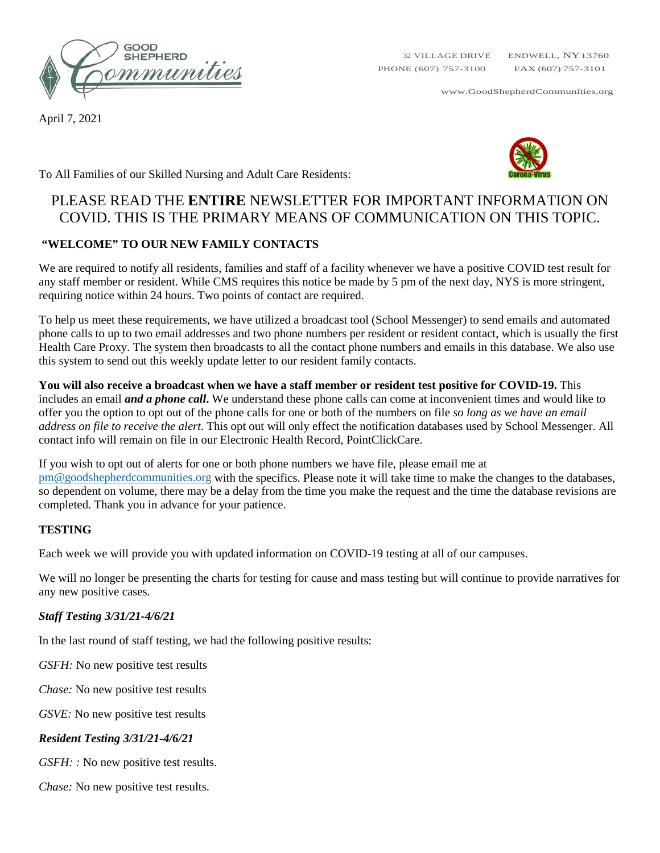

April 7, 2021

www.GoodShepherdCommunities.org



To All Families of our Skilled Nursing and Adult Care Residents:

# PLEASE READ THE **ENTIRE** NEWSLETTER FOR IMPORTANT INFORMATION ON COVID. THIS IS THE PRIMARY MEANS OF COMMUNICATION ON THIS TOPIC.

## **"WELCOME" TO OUR NEW FAMILY CONTACTS**

We are required to notify all residents, families and staff of a facility whenever we have a positive COVID test result for any staff member or resident. While CMS requires this notice be made by 5 pm of the next day, NYS is more stringent, requiring notice within 24 hours. Two points of contact are required.

To help us meet these requirements, we have utilized a broadcast tool (School Messenger) to send emails and automated phone calls to up to two email addresses and two phone numbers per resident or resident contact, which is usually the first Health Care Proxy. The system then broadcasts to all the contact phone numbers and emails in this database. We also use this system to send out this weekly update letter to our resident family contacts.

**You will also receive a broadcast when we have a staff member or resident test positive for COVID-19.** This includes an email *and a phone call***.** We understand these phone calls can come at inconvenient times and would like to offer you the option to opt out of the phone calls for one or both of the numbers on file *so long as we have an email address on file to receive the alert*. This opt out will only effect the notification databases used by School Messenger. All contact info will remain on file in our Electronic Health Record, PointClickCare.

If you wish to opt out of alerts for one or both phone numbers we have file, please email me at [pm@goodshepherdcommunities.org](mailto:pm@goodshepherdcommunities.org) with the specifics. Please note it will take time to make the changes to the databases, so dependent on volume, there may be a delay from the time you make the request and the time the database revisions are completed. Thank you in advance for your patience.

## **TESTING**

Each week we will provide you with updated information on COVID-19 testing at all of our campuses.

We will no longer be presenting the charts for testing for cause and mass testing but will continue to provide narratives for any new positive cases.

## *Staff Testing 3/31/21-4/6/21*

In the last round of staff testing, we had the following positive results:

*GSFH:* No new positive test results

*Chase:* No new positive test results

*GSVE:* No new positive test results

## *Resident Testing 3/31/21-4/6/21*

*GSFH:* : No new positive test results.

*Chase:* No new positive test results.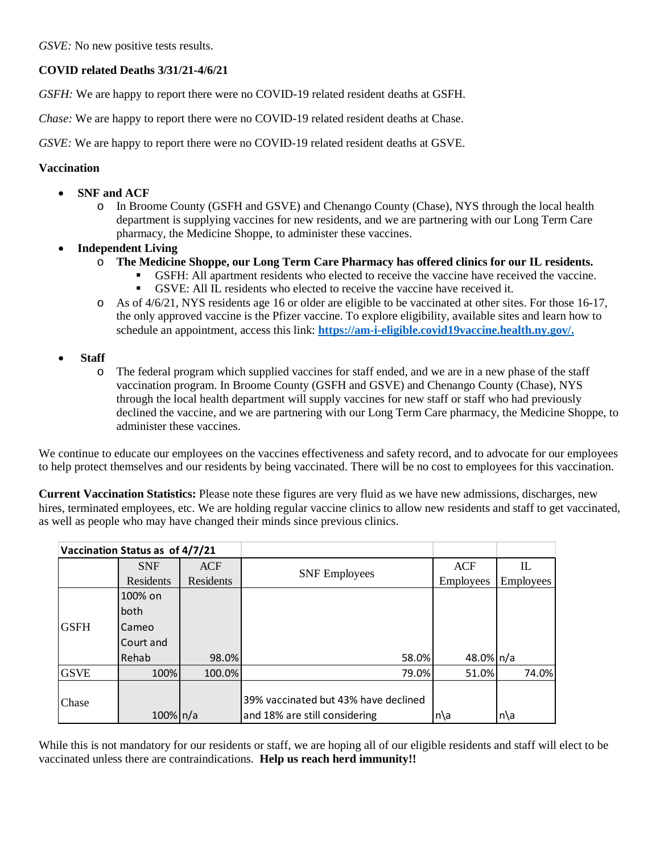*GSVE:* No new positive tests results.

## **COVID related Deaths 3/31/21-4/6/21**

*GSFH:* We are happy to report there were no COVID-19 related resident deaths at GSFH.

*Chase:* We are happy to report there were no COVID-19 related resident deaths at Chase.

*GSVE:* We are happy to report there were no COVID-19 related resident deaths at GSVE.

### **Vaccination**

- **SNF and ACF**
	- o In Broome County (GSFH and GSVE) and Chenango County (Chase), NYS through the local health department is supplying vaccines for new residents, and we are partnering with our Long Term Care pharmacy, the Medicine Shoppe, to administer these vaccines.
- **Independent Living** 
	- o **The Medicine Shoppe, our Long Term Care Pharmacy has offered clinics for our IL residents.** 
		- GSFH: All apartment residents who elected to receive the vaccine have received the vaccine. GSVE: All IL residents who elected to receive the vaccine have received it.
	- o As of 4/6/21, NYS residents age 16 or older are eligible to be vaccinated at other sites. For those 16-17, the only approved vaccine is the Pfizer vaccine. To explore eligibility, available sites and learn how to schedule an appointment, access this link: **[https://am-i-eligible.covid19vaccine.health.ny.gov/.](https://am-i-eligible.covid19vaccine.health.ny.gov/)**
- **Staff**
	- o The federal program which supplied vaccines for staff ended, and we are in a new phase of the staff vaccination program. In Broome County (GSFH and GSVE) and Chenango County (Chase), NYS through the local health department will supply vaccines for new staff or staff who had previously declined the vaccine, and we are partnering with our Long Term Care pharmacy, the Medicine Shoppe, to administer these vaccines.

We continue to educate our employees on the vaccines effectiveness and safety record, and to advocate for our employees to help protect themselves and our residents by being vaccinated. There will be no cost to employees for this vaccination.

**Current Vaccination Statistics:** Please note these figures are very fluid as we have new admissions, discharges, new hires, terminated employees, etc. We are holding regular vaccine clinics to allow new residents and staff to get vaccinated, as well as people who may have changed their minds since previous clinics.

| Vaccination Status as of 4/7/21 |               |            |                                                                       |            |           |
|---------------------------------|---------------|------------|-----------------------------------------------------------------------|------------|-----------|
|                                 | <b>SNF</b>    | <b>ACF</b> |                                                                       | <b>ACF</b> | IL        |
|                                 | Residents     | Residents  | <b>SNF</b> Employees                                                  | Employees  | Employees |
| <b>GSFH</b>                     | 100% on       |            |                                                                       |            |           |
|                                 | both          |            |                                                                       |            |           |
|                                 | Cameo         |            |                                                                       |            |           |
|                                 | Court and     |            |                                                                       |            |           |
|                                 | Rehab         | 98.0%      | 58.0%                                                                 | 48.0% n/a  |           |
| <b>GSVE</b>                     | 100%          | 100.0%     | 79.0%                                                                 | 51.0%      | 74.0%     |
| Chase                           | $100\%$   n/a |            | 39% vaccinated but 43% have declined<br>and 18% are still considering | n\a        | $n\$ a    |

While this is not mandatory for our residents or staff, we are hoping all of our eligible residents and staff will elect to be vaccinated unless there are contraindications. **Help us reach herd immunity!!**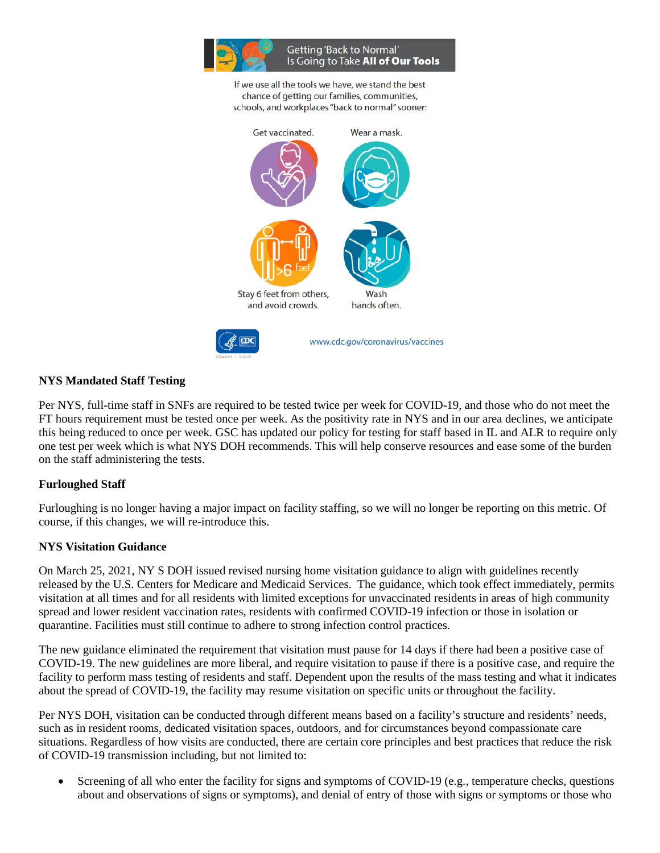

If we use all the tools we have, we stand the best chance of getting our families, communities, schools, and workplaces "back to normal" sooner:



## **NYS Mandated Staff Testing**

Per NYS, full-time staff in SNFs are required to be tested twice per week for COVID-19, and those who do not meet the FT hours requirement must be tested once per week. As the positivity rate in NYS and in our area declines, we anticipate this being reduced to once per week. GSC has updated our policy for testing for staff based in IL and ALR to require only one test per week which is what NYS DOH recommends. This will help conserve resources and ease some of the burden on the staff administering the tests.

## **Furloughed Staff**

Furloughing is no longer having a major impact on facility staffing, so we will no longer be reporting on this metric. Of course, if this changes, we will re-introduce this.

#### **NYS Visitation Guidance**

On March 25, 2021, NY S DOH issued revised nursing home visitation guidance to align with guidelines recently released by the U.S. Centers for Medicare and Medicaid Services. The guidance, which took effect immediately, permits visitation at all times and for all residents with limited exceptions for unvaccinated residents in areas of high community spread and lower resident vaccination rates, residents with confirmed COVID-19 infection or those in isolation or quarantine. Facilities must still continue to adhere to strong infection control practices.

The new guidance eliminated the requirement that visitation must pause for 14 days if there had been a positive case of COVID-19. The new guidelines are more liberal, and require visitation to pause if there is a positive case, and require the facility to perform mass testing of residents and staff. Dependent upon the results of the mass testing and what it indicates about the spread of COVID-19, the facility may resume visitation on specific units or throughout the facility.

Per NYS DOH, visitation can be conducted through different means based on a facility's structure and residents' needs, such as in resident rooms, dedicated visitation spaces, outdoors, and for circumstances beyond compassionate care situations. Regardless of how visits are conducted, there are certain core principles and best practices that reduce the risk of COVID-19 transmission including, but not limited to:

Screening of all who enter the facility for signs and symptoms of COVID-19 (e.g., temperature checks, questions about and observations of signs or symptoms), and denial of entry of those with signs or symptoms or those who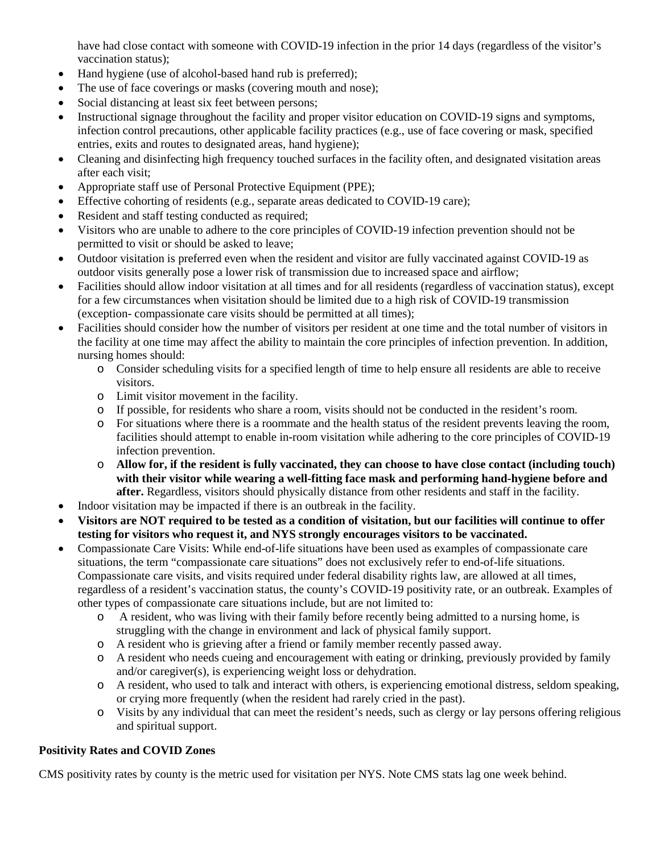have had close contact with someone with COVID-19 infection in the prior 14 days (regardless of the visitor's vaccination status);

- Hand hygiene (use of alcohol-based hand rub is preferred);
- The use of face coverings or masks (covering mouth and nose);
- Social distancing at least six feet between persons:
- Instructional signage throughout the facility and proper visitor education on COVID-19 signs and symptoms, infection control precautions, other applicable facility practices (e.g., use of face covering or mask, specified entries, exits and routes to designated areas, hand hygiene);
- Cleaning and disinfecting high frequency touched surfaces in the facility often, and designated visitation areas after each visit;
- Appropriate staff use of Personal Protective Equipment (PPE);
- Effective cohorting of residents (e.g., separate areas dedicated to COVID-19 care);
- Resident and staff testing conducted as required;
- Visitors who are unable to adhere to the core principles of COVID-19 infection prevention should not be permitted to visit or should be asked to leave;
- Outdoor visitation is preferred even when the resident and visitor are fully vaccinated against COVID-19 as outdoor visits generally pose a lower risk of transmission due to increased space and airflow;
- Facilities should allow indoor visitation at all times and for all residents (regardless of vaccination status), except for a few circumstances when visitation should be limited due to a high risk of COVID-19 transmission (exception- compassionate care visits should be permitted at all times);
- Facilities should consider how the number of visitors per resident at one time and the total number of visitors in the facility at one time may affect the ability to maintain the core principles of infection prevention. In addition, nursing homes should:
	- o Consider scheduling visits for a specified length of time to help ensure all residents are able to receive visitors.
	- o Limit visitor movement in the facility.
	- o If possible, for residents who share a room, visits should not be conducted in the resident's room.
	- o For situations where there is a roommate and the health status of the resident prevents leaving the room, facilities should attempt to enable in-room visitation while adhering to the core principles of COVID-19 infection prevention.
	- o **Allow for, if the resident is fully vaccinated, they can choose to have close contact (including touch) with their visitor while wearing a well-fitting face mask and performing hand-hygiene before and after.** Regardless, visitors should physically distance from other residents and staff in the facility.
- Indoor visitation may be impacted if there is an outbreak in the facility.
- **Visitors are NOT required to be tested as a condition of visitation, but our facilities will continue to offer testing for visitors who request it, and NYS strongly encourages visitors to be vaccinated.**
- Compassionate Care Visits: While end-of-life situations have been used as examples of compassionate care situations, the term "compassionate care situations" does not exclusively refer to end-of-life situations. Compassionate care visits, and visits required under federal disability rights law, are allowed at all times, regardless of a resident's vaccination status, the county's COVID-19 positivity rate, or an outbreak. Examples of other types of compassionate care situations include, but are not limited to:
	- o A resident, who was living with their family before recently being admitted to a nursing home, is struggling with the change in environment and lack of physical family support.
	- o A resident who is grieving after a friend or family member recently passed away.
	- o A resident who needs cueing and encouragement with eating or drinking, previously provided by family and/or caregiver(s), is experiencing weight loss or dehydration.
	- o A resident, who used to talk and interact with others, is experiencing emotional distress, seldom speaking, or crying more frequently (when the resident had rarely cried in the past).
	- o Visits by any individual that can meet the resident's needs, such as clergy or lay persons offering religious and spiritual support.

## **Positivity Rates and COVID Zones**

CMS positivity rates by county is the metric used for visitation per NYS. Note CMS stats lag one week behind.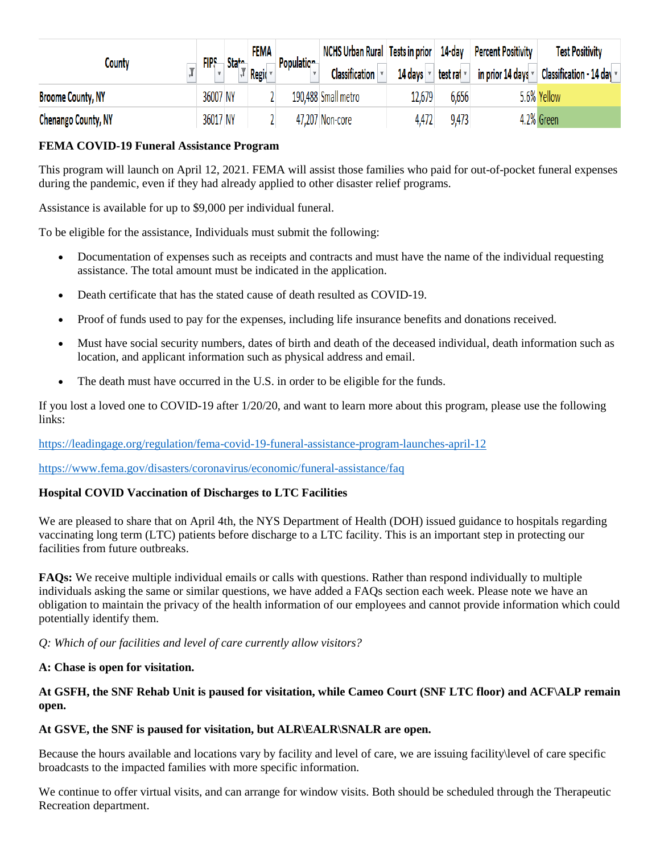|                            | FIPS     |                    | FEMA  | Population | NCHS Urban Rural Tests in prior   14-day   Percent Positivity |         |                   | <b>Test Positivity</b>                                                                            |
|----------------------------|----------|--------------------|-------|------------|---------------------------------------------------------------|---------|-------------------|---------------------------------------------------------------------------------------------------|
| County                     |          | State <sub>n</sub> | Regio |            | Classification v                                              | 14 days | test ral <b>v</b> | in prior 14 days $\mathbf{\overline{\mathsf{v}}}$ Classification - 14 day $\mathbf{\overline{v}}$ |
| <b>Broome County, NY</b>   | 36007 NY |                    |       |            | 190,488 Small metro                                           | 12,679  | 6,656             | 5.6% Yellow                                                                                       |
| <b>Chenango County, NY</b> |          | 36017 NY           |       |            | 47,207 Non-core                                               | 4,472   | 9,473             | 4.2% Green                                                                                        |

## **FEMA COVID-19 Funeral Assistance Program**

This program will launch on April 12, 2021. FEMA will assist those families who paid for out-of-pocket funeral expenses during the pandemic, even if they had already applied to other disaster relief programs.

Assistance is available for up to \$9,000 per individual funeral.

To be eligible for the assistance, Individuals must submit the following:

- Documentation of expenses such as receipts and contracts and must have the name of the individual requesting assistance. The total amount must be indicated in the application.
- Death certificate that has the stated cause of death resulted as COVID-19.
- Proof of funds used to pay for the expenses, including life insurance benefits and donations received.
- Must have social security numbers, dates of birth and death of the deceased individual, death information such as location, and applicant information such as physical address and email.
- The death must have occurred in the U.S. in order to be eligible for the funds.

If you lost a loved one to COVID-19 after 1/20/20, and want to learn more about this program, please use the following links:

## <https://leadingage.org/regulation/fema-covid-19-funeral-assistance-program-launches-april-12>

<https://www.fema.gov/disasters/coronavirus/economic/funeral-assistance/faq>

## **Hospital COVID Vaccination of Discharges to LTC Facilities**

We are pleased to share that on April 4th, the NYS Department of Health (DOH) issued guidance to hospitals regarding vaccinating long term (LTC) patients before discharge to a LTC facility. This is an important step in protecting our facilities from future outbreaks.

**FAQs:** We receive multiple individual emails or calls with questions. Rather than respond individually to multiple individuals asking the same or similar questions, we have added a FAQs section each week. Please note we have an obligation to maintain the privacy of the health information of our employees and cannot provide information which could potentially identify them.

*Q: Which of our facilities and level of care currently allow visitors?*

## **A: Chase is open for visitation.**

## **At GSFH, the SNF Rehab Unit is paused for visitation, while Cameo Court (SNF LTC floor) and ACF\ALP remain open.**

## **At GSVE, the SNF is paused for visitation, but ALR\EALR\SNALR are open.**

Because the hours available and locations vary by facility and level of care, we are issuing facility\level of care specific broadcasts to the impacted families with more specific information.

We continue to offer virtual visits, and can arrange for window visits. Both should be scheduled through the Therapeutic Recreation department.